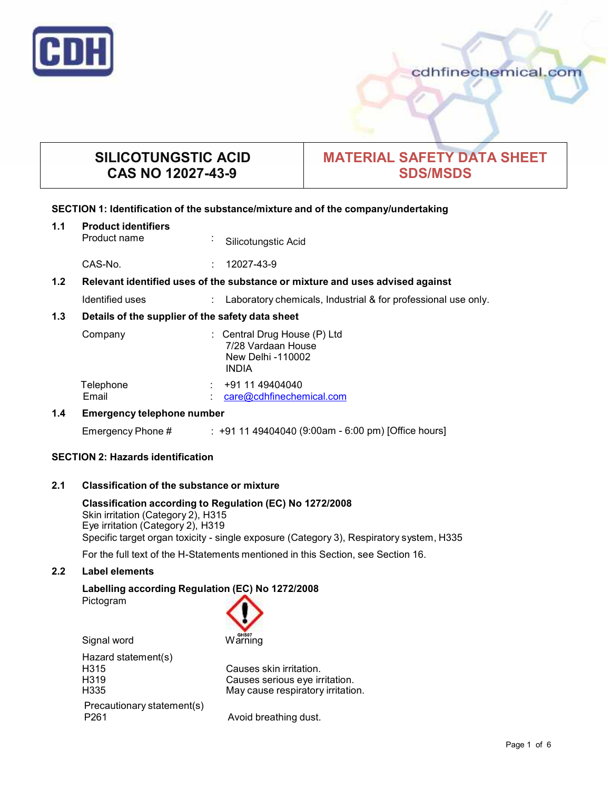

cdhfinechemical.com

# **SILICOTUNGSTIC ACID CAS NO 12027-43-9**

# **MATERIAL SAFETY DATA SHEET SDS/MSDS**

# **SECTION 1: Identification of the substance/mixture and of the company/undertaking**

## **1.1 Product identifiers**

Product name **:** Silicotungstic Acid

CAS-No. : 12027-43-9

## **1.2 Relevant identified uses of the substance ormixture and uses advised against**

Identified uses : Laboratory chemicals, Industrial & for professional use only.

## **1.3 Details of the supplier of the safety data sheet**

| Company            | $\therefore$ Central Drug House (P) Ltd<br>7/28 Vardaan House<br>New Delhi -110002<br><b>INDIA</b> |
|--------------------|----------------------------------------------------------------------------------------------------|
| Telephone<br>Email | +91 11 49404040<br>care@cdhfinechemical.com                                                        |

## **1.4 Emergency telephone number**

Emergency Phone # : +91 11 49404040 (9:00am - 6:00 pm) [Office hours]

# **SECTION 2: Hazards identification**

## **2.1 Classification of the substance ormixture**

**Classification according to Regulation (EC) No 1272/2008** Skin irritation (Category 2), H315 Eye irritation (Category 2), H319 Specific target organ toxicity - single exposure (Category 3), Respiratory system, H335

For the full text of the H-Statements mentioned in this Section, see Section 16.

## **2.2 Label elements**

### **Labelling according Regulation (EC) No 1272/2008** Pictogram



Signal word Warning

Hazard statement(s)<br>H315 H315 Causes skin irritation.<br>
H319 Causes serious eve ir H319 Causes serious eye irritation. Precautionary statement(s) P261 **Avoid breathing dust.** 

May cause respiratory irritation.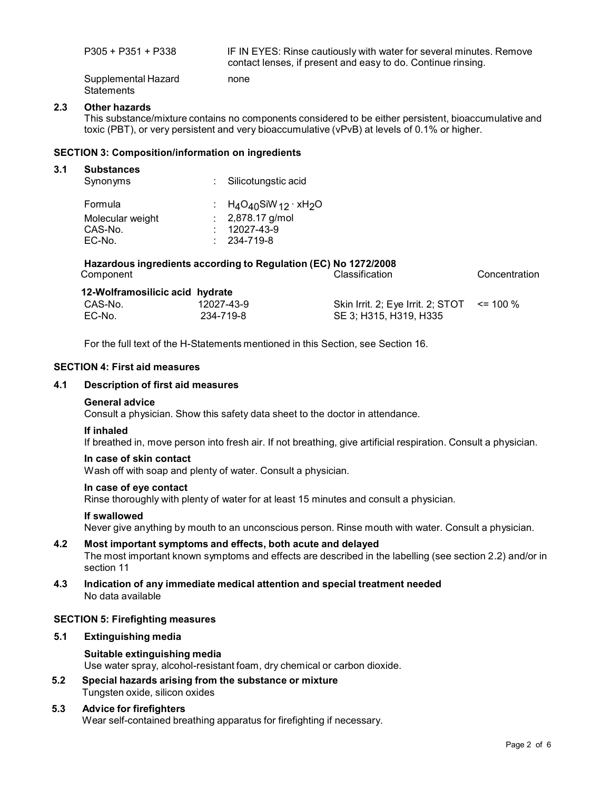| P305 + P351 + P338  | IF IN EYES: Rinse cautiously with water for several minutes. Remove<br>contact lenses, if present and easy to do. Continue rinsing. |
|---------------------|-------------------------------------------------------------------------------------------------------------------------------------|
| Supplemental Hazard | none                                                                                                                                |

Supplemental Hazard **Statements** 

### **2.3 Other hazards**

This substance/mixture contains no components considered to be either persistent, bioaccumulative and toxic (PBT), or very persistent and very bioaccumulative (vPvB) at levels of 0.1% or higher.

#### **SECTION 3: Composition/information on ingredients**

#### **3.1 Substances**

| Synonyms         | : Silicotungstic acid                               |
|------------------|-----------------------------------------------------|
| Formula          | : $H_4O_{40}$ SiW <sub>12</sub> · xH <sub>2</sub> O |
| Molecular weight | $: 2,878.17$ g/mol                                  |
| CAS-No.          | $: 12027 - 43 - 9$                                  |
| EC-No.           | $: 234 - 719 - 8$                                   |

| Component                       | Hazardous ingredients according to Regulation (EC) No 1272/2008 | <b>Classification</b>                           | Concentration |
|---------------------------------|-----------------------------------------------------------------|-------------------------------------------------|---------------|
| 12-Wolframosilicic acid hydrate |                                                                 |                                                 |               |
| CAS-No.                         | 12027-43-9                                                      | Skin Irrit. 2; Eye Irrit. 2; STOT $\le$ = 100 % |               |

SE 3; H315, H319, H335

For the full text of the H-Statements mentioned in this Section, see Section 16.

## **SECTION 4: First aid measures**

#### **4.1 Description of first aid measures**

#### **General advice**

Consult a physician. Show this safety data sheet to the doctor in attendance.

#### **If inhaled**

EC-No.

If breathed in, move person into fresh air. If not breathing, give artificial respiration. Consult a physician.

#### **In case of skin contact**

Wash off with soap and plenty of water. Consult a physician.

234-719-8

## **In case of eye contact**

Rinse thoroughly with plenty of water for at least 15 minutes and consult a physician.

#### **If swallowed**

Never give anything by mouth to an unconscious person. Rinse mouth with water. Consult a physician.

## **4.2 Most important symptoms and effects, both acute and delayed** The most important known symptoms and effects are described in the labelling (see section 2.2) and/or in section 11

**4.3 Indication of any immediate medical attention and special treatment needed** No data available

#### **SECTION 5: Firefighting measures**

**5.1 Extinguishing media**

## **Suitable extinguishing media** Use water spray, alcohol-resistant foam, dry chemical or carbon dioxide.

**5.2 Special hazards arising from the substance ormixture** Tungsten oxide, silicon oxides

# **5.3 Advice for firefighters**

Wear self-contained breathing apparatus for firefighting if necessary.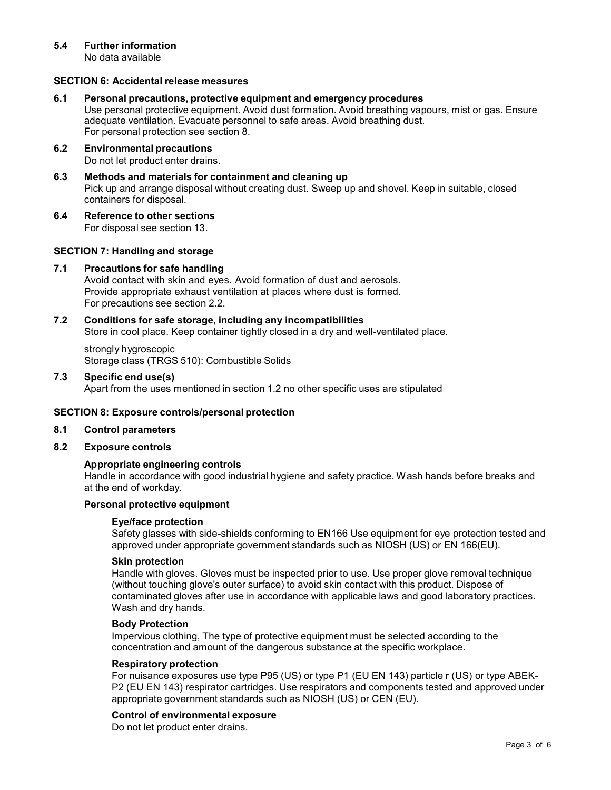## **5.4 Further information**

No data available

## **SECTION 6: Accidental release measures**

#### **6.1 Personal precautions, protective equipment and emergency procedures**

Use personal protective equipment. Avoid dust formation. Avoid breathing vapours, mist or gas. Ensure adequate ventilation. Evacuate personnel to safe areas. Avoid breathing dust. For personal protection see section 8.

- **6.2 Environmental precautions** Do not let product enter drains.
- **6.3 Methods and materials for containment and cleaning up** Pick up and arrange disposal without creating dust. Sweep up and shovel. Keep in suitable, closed containers for disposal.
- **6.4 Reference to other sections**

For disposal see section 13.

## **SECTION 7: Handling and storage**

## **7.1 Precautions for safe handling**

Avoid contact with skin and eyes. Avoid formation of dust and aerosols. Provide appropriate exhaust ventilation at places where dust is formed. For precautions see section 2.2.

# **7.2 Conditions for safe storage, including any incompatibilities** Store in cool place. Keep container tightly closed in a dry and well-ventilated place.

strongly hygroscopic Storage class (TRGS 510): Combustible Solids

**7.3 Specific end use(s)** Apart from the uses mentioned in section 1.2 no other specific uses are stipulated

## **SECTION 8: Exposure controls/personal protection**

### **8.1 Control parameters**

## **8.2 Exposure controls**

## **Appropriate engineering controls**

Handle in accordance with good industrial hygiene and safety practice. Wash hands before breaks and at the end of workday.

# **Personal protective equipment**

## **Eye/face protection**

Safety glasses with side-shields conforming to EN166 Use equipment for eye protection tested and approved under appropriate government standards such as NIOSH (US) or EN 166(EU).

#### **Skin protection**

Handle with gloves. Gloves must be inspected prior to use. Use proper glove removal technique (without touching glove's outer surface) to avoid skin contact with this product. Dispose of contaminated gloves after use in accordance with applicable laws and good laboratory practices. Wash and dry hands.

#### **Body Protection**

Impervious clothing, The type of protective equipment must be selected according to the concentration and amount of the dangerous substance at the specific workplace.

#### **Respiratory protection**

For nuisance exposures use type P95 (US) or type P1 (EU EN 143) particle r (US) or type ABEK- P2 (EU EN 143) respirator cartridges. Use respirators and components tested and approved under appropriate government standards such as NIOSH (US) or CEN (EU).

## **Control of environmental exposure**

Do not let product enter drains.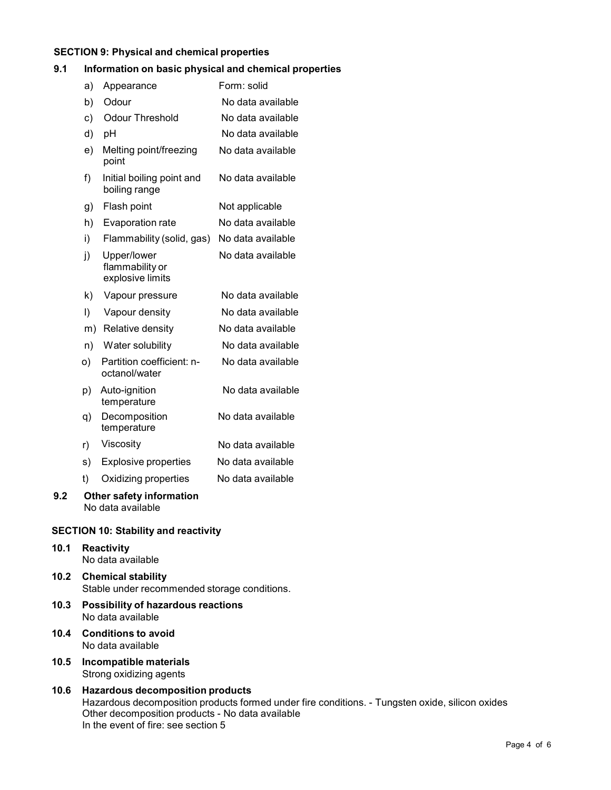# **SECTION 9: Physical and chemical properties**

# **9.1 Information on basic physical and chemical properties**

| a) | Appearance                                         | Form: solid       |
|----|----------------------------------------------------|-------------------|
| b) | Odour                                              | No data available |
| c) | <b>Odour Threshold</b>                             | No data available |
| d) | pH                                                 | No data available |
| e) | Melting point/freezing<br>point                    | No data available |
| f) | Initial boiling point and<br>boiling range         | No data available |
| g) | Flash point                                        | Not applicable    |
| h) | Evaporation rate                                   | No data available |
| i) | Flammability (solid, gas)                          | No data available |
| j) | Upper/lower<br>flammability or<br>explosive limits | No data available |
| k) | Vapour pressure                                    | No data available |
| I) | Vapour density                                     | No data available |
| m) | Relative density                                   | No data available |
| n) | Water solubility                                   | No data available |
| o) | Partition coefficient: n-<br>octanol/water         | No data available |
| p) | Auto-ignition<br>temperature                       | No data available |
| q) | Decomposition<br>temperature                       | No data available |
| r) | Viscosity                                          | No data available |
| s) | <b>Explosive properties</b>                        | No data available |
| t) | Oxidizing properties                               | No data available |
|    | Other safety information                           |                   |

**9.2 Other safety information** No data available

# **SECTION 10: Stability and reactivity**

- **10.1 Reactivity** No data available
- **10.2 Chemical stability** Stable under recommended storage conditions.
- **10.3 Possibility of hazardous reactions** No data available
- **10.4 Conditions to avoid** No data available
- **10.5 Incompatible materials** Strong oxidizing agents
- **10.6 Hazardous decomposition products** Hazardous decomposition products formed under fire conditions. - Tungsten oxide, silicon oxides Other decomposition products - No data available In the event of fire: see section 5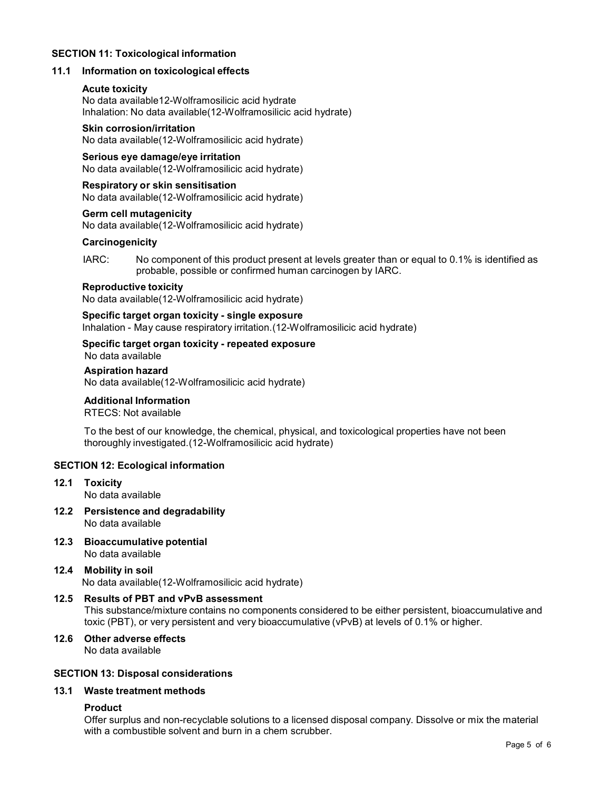## **SECTION 11: Toxicological information**

## **11.1 Information on toxicological effects**

## **Acute toxicity**

No data available12-Wolframosilicic acid hydrate Inhalation: No data available(12-Wolframosilicic acid hydrate)

# **Skin corrosion/irritation**

No data available(12-Wolframosilicic acid hydrate)

### **Serious eye damage/eye irritation**

No data available(12-Wolframosilicic acid hydrate)

## **Respiratory orskin sensitisation**

No data available(12-Wolframosilicic acid hydrate)

#### **Germ cell mutagenicity** No data available(12-Wolframosilicic acid hydrate)

**Carcinogenicity**

IARC: No component of this product present at levels greater than or equal to 0.1% is identified as probable, possible or confirmed human carcinogen by IARC.

#### **Reproductive toxicity**

No data available(12-Wolframosilicic acid hydrate)

## **Specific target organ toxicity - single exposure**

Inhalation - May cause respiratory irritation.(12-Wolframosilicic acid hydrate)

# **Specific target organ toxicity - repeated exposure**

No data available

#### **Aspiration hazard**

No data available(12-Wolframosilicic acid hydrate)

## **Additional Information**

RTECS: Not available

To the best of our knowledge, the chemical, physical, and toxicological properties have not been thoroughly investigated.(12-Wolframosilicic acid hydrate)

## **SECTION 12: Ecological information**

- **12.1 Toxicity** No data available
- **12.2 Persistence and degradability** No data available
- **12.3 Bioaccumulative potential** No data available
- **12.4 Mobility in soil** No data available(12-Wolframosilicic acid hydrate)

# **12.5 Results of PBT and vPvB assessment**

This substance/mixture contains no components considered to be either persistent, bioaccumulative and toxic (PBT), or very persistent and very bioaccumulative (vPvB) at levels of 0.1% or higher.

# **12.6 Other adverse effects**

No data available

## **SECTION 13: Disposal considerations**

# **13.1 Waste treatment methods**

## **Product**

Offer surplus and non-recyclable solutions to a licensed disposal company. Dissolve or mix the material with a combustible solvent and burn in a chem scrubber.